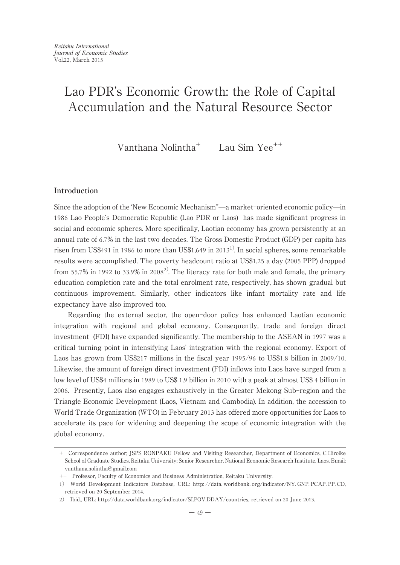Vanthana Nolintha<sup>+</sup> Lau Sim Yee<sup>++</sup>

## **Introduction**

Since the adoption of the ʻNew Economic Mechanism"̶a market-oriented economic policy̶in 1986 Lao People's Democratic Republic (Lao PDR or Laos) has made significant progress in social and economic spheres. More specifically, Laotian economy has grown persistently at an annual rate of 6.7% in the last two decades. The Gross Domestic Product (GDP) per capita has risen from US\$491 in 1986 to more than US\$1,649 in  $2013^{1}$ . In social spheres, some remarkable results were accomplished. The poverty headcount ratio at US\$1.25 a day (2005 PPP) dropped from 55.7% in 1992 to 33.9% in 2008<sup>2)</sup>. The literacy rate for both male and female, the primary education completion rate and the total enrolment rate, respectively, has shown gradual but continuous improvement. Similarly, other indicators like infant mortality rate and life expectancy have also improved too.

Regarding the external sector, the open-door policy has enhanced Laotian economic integration with regional and global economy. Consequently, trade and foreign direct investment (FDI) have expanded significantly. The membership to the ASEAN in 1997 was a critical turning point in intensifying Laos' integration with the regional economy. Export of Laos has grown from US\$217 millions in the fiscal year 1995/96 to US\$1.8 billion in 2009/10. Likewise, the amount of foreign direct investment (FDI) inflows into Laos have surged from a low level of US\$4 millions in 1989 to US\$ 1.9 billion in 2010 with a peak at almost US\$ 4 billion in 2006. Presently, Laos also engages exhaustively in the Greater Mekong Sub-region and the Triangle Economic Development (Laos, Vietnam and Cambodia). In addition, the accession to World Trade Organization (WTO) in February 2013 has offered more opportunities for Laos to accelerate its pace for widening and deepening the scope of economic integration with the global economy.

<sup>+</sup> Correspondence author; JSPS RONPAKU Fellow and Visiting Researcher, Department of Economics, C.Hiroike School of Graduate Studies, Reitaku University; Senior Researcher, National Economic Research Institute, Laos. Email: vanthana.nolintha@gmail.com

<sup>++</sup> Professor, Faculty of Economics and Business Administration, Reitaku University.

<sup>1</sup>) World Development Indicators Database, URL: http: //data. worldbank. org/indicator/NY. GNP. PCAP. PP. CD, retrieved on 20 September 2014.

<sup>2</sup>) Ibid., URL: http://data.worldbank.org/indicator/SI.POV.DDAY/countries, retrieved on 20 June 2013.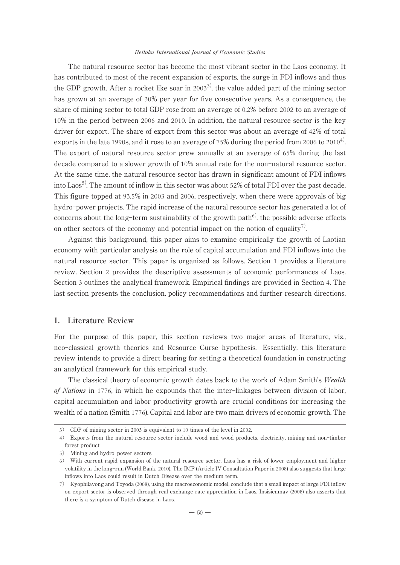#### Reitaku International Journal of Economic Studies

The natural resource sector has become the most vibrant sector in the Laos economy. It has contributed to most of the recent expansion of exports, the surge in FDI inflows and thus the GDP growth. After a rocket like soar in 2003<sup>3</sup>, the value added part of the mining sector has grown at an average of 30% per year for five consecutive years. As a consequence, the share of mining sector to total GDP rose from an average of 0.2% before 2002 to an average of 10% in the period between 2006 and 2010. In addition, the natural resource sector is the key driver for export. The share of export from this sector was about an average of 42% of total exports in the late 1990s, and it rose to an average of 75% during the period from 2006 to  $2010<sup>4</sup>$ . The export of natural resource sector grew annually at an average of 65% during the last decade compared to a slower growth of 10% annual rate for the non-natural resource sector. At the same time, the natural resource sector has drawn in significant amount of FDI inflows into Laos<sup>5)</sup>. The amount of inflow in this sector was about 52% of total FDI over the past decade. This figure topped at 93.5% in 2003 and 2006, respectively, when there were approvals of big hydro-power projects. The rapid increase of the natural resource sector has generated a lot of concerns about the long-term sustainability of the growth path $6<sup>6</sup>$ , the possible adverse effects on other sectors of the economy and potential impact on the notion of equality<sup>7)</sup>.

Against this background, this paper aims to examine empirically the growth of Laotian economy with particular analysis on the role of capital accumulation and FDI inflows into the natural resource sector. This paper is organized as follows. Section 1 provides a literature review. Section 2 provides the descriptive assessments of economic performances of Laos. Section 3 outlines the analytical framework. Empirical findings are provided in Section 4. The last section presents the conclusion, policy recommendations and further research directions.

## **1. Literature Review**

For the purpose of this paper, this section reviews two major areas of literature, viz., neo-classical growth theories and Resource Curse hypothesis. Essentially, this literature review intends to provide a direct bearing for setting a theoretical foundation in constructing an analytical framework for this empirical study.

The classical theory of economic growth dates back to the work of Adam Smith's Wealth of Nations in 1776, in which he expounds that the inter-linkages between division of labor, capital accumulation and labor productivity growth are crucial conditions for increasing the wealth of a nation (Smith 1776). Capital and labor are two main drivers of economic growth. The

<sup>3</sup>) GDP of mining sector in 2003 is equivalent to 10 times of the level in 2002.

<sup>4</sup>) Exports from the natural resource sector include wood and wood products, electricity, mining and non-timber forest product.

<sup>5</sup>) Mining and hydro-power sectors.

<sup>6</sup>) With current rapid expansion of the natural resource sector, Laos has a risk of lower employment and higher volatility in the long-run (World Bank, 2010). The IMF (Article IV Consultation Paper in 2008) also suggests that large inflows into Laos could result in Dutch Disease over the medium term.

<sup>7</sup>) Kyophilavong and Toyoda (2008), using the macroeconomic model, conclude that a small impact of large FDI inflow on export sector is observed through real exchange rate appreciation in Laos. Insisienmay (2008) also asserts that there is a symptom of Dutch disease in Laos.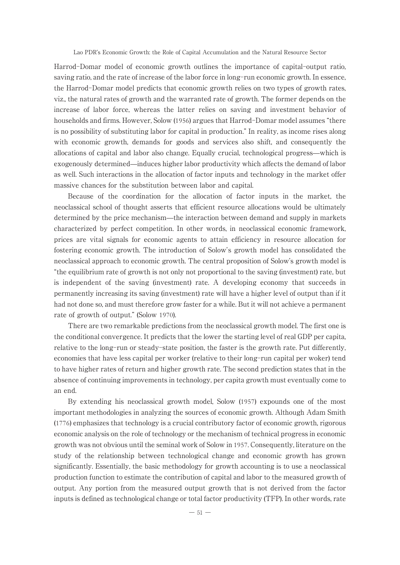Harrod-Domar model of economic growth outlines the importance of capital-output ratio, saving ratio, and the rate of increase of the labor force in long-run economic growth. In essence, the Harrod-Domar model predicts that economic growth relies on two types of growth rates, viz., the natural rates of growth and the warranted rate of growth. The former depends on the increase of labor force, whereas the latter relies on saving and investment behavior of households and firms. However, Solow (1956) argues that Harrod-Domar model assumes "there is no possibility of substituting labor for capital in production." In reality, as income rises along with economic growth, demands for goods and services also shift, and consequently the allocations of capital and labor also change. Equally crucial, technological progress̶which is exogenously determined̶induces higher labor productivity which affects the demand of labor as well. Such interactions in the allocation of factor inputs and technology in the market offer massive chances for the substitution between labor and capital.

Because of the coordination for the allocation of factor inputs in the market, the neoclassical school of thought asserts that efficient resource allocations would be ultimately determined by the price mechanism̶the interaction between demand and supply in markets characterized by perfect competition. In other words, in neoclassical economic framework, prices are vital signals for economic agents to attain efficiency in resource allocation for fostering economic growth. The introduction of Solow's growth model has consolidated the neoclassical approach to economic growth. The central proposition of Solow's growth model is "the equilibrium rate of growth is not only not proportional to the saving (investment) rate, but is independent of the saving (investment) rate. A developing economy that succeeds in permanently increasing its saving (investment) rate will have a higher level of output than if it had not done so, and must therefore grow faster for a while. But it will not achieve a permanent rate of growth of output." (Solow 1970).

There are two remarkable predictions from the neoclassical growth model. The first one is the conditional convergence. It predicts that the lower the starting level of real GDP per capita, relative to the long-run or steady-state position, the faster is the growth rate. Put differently, economies that have less capital per worker (relative to their long-run capital per woker) tend to have higher rates of return and higher growth rate. The second prediction states that in the absence of continuing improvements in technology, per capita growth must eventually come to an end.

By extending his neoclassical growth model, Solow (1957) expounds one of the most important methodologies in analyzing the sources of economic growth. Although Adam Smith (1776) emphasizes that technology is a crucial contributory factor of economic growth, rigorous economic analysis on the role of technology or the mechanism of technical progress in economic growth was not obvious until the seminal work of Solow in 1957. Consequently, literature on the study of the relationship between technological change and economic growth has grown significantly. Essentially, the basic methodology for growth accounting is to use a neoclassical production function to estimate the contribution of capital and labor to the measured growth of output. Any portion from the measured output growth that is not derived from the factor inputs is defined as technological change or total factor productivity (TFP). In other words, rate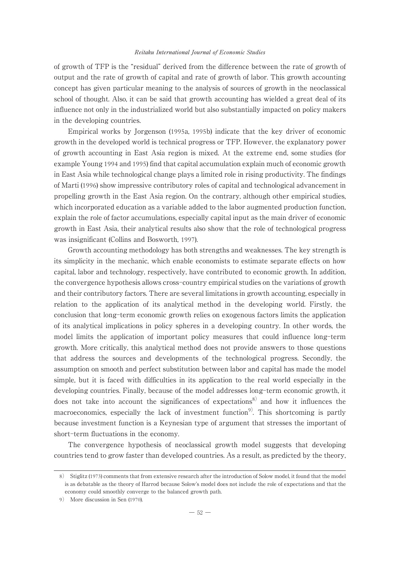## Reitaku International Journal of Economic Studies

of growth of TFP is the "residual" derived from the difference between the rate of growth of output and the rate of growth of capital and rate of growth of labor. This growth accounting concept has given particular meaning to the analysis of sources of growth in the neoclassical school of thought. Also, it can be said that growth accounting has wielded a great deal of its influence not only in the industrialized world but also substantially impacted on policy makers in the developing countries.

Empirical works by Jorgenson (1995a, 1995b) indicate that the key driver of economic growth in the developed world is technical progress or TFP. However, the explanatory power of growth accounting in East Asia region is mixed. At the extreme end, some studies (for example Young 1994 and 1995) find that capital accumulation explain much of economic growth in East Asia while technological change plays a limited role in rising productivity. The findings of Marti (1996) show impressive contributory roles of capital and technological advancement in propelling growth in the East Asia region. On the contrary, although other empirical studies, which incorporated education as a variable added to the labor augmented production function, explain the role of factor accumulations, especially capital input as the main driver of economic growth in East Asia, their analytical results also show that the role of technological progress was insignificant (Collins and Bosworth, 1997).

Growth accounting methodology has both strengths and weaknesses. The key strength is its simplicity in the mechanic, which enable economists to estimate separate effects on how capital, labor and technology, respectively, have contributed to economic growth. In addition, the convergence hypothesis allows cross-country empirical studies on the variations of growth and their contributory factors. There are several limitations in growth accounting, especially in relation to the application of its analytical method in the developing world. Firstly, the conclusion that long-term economic growth relies on exogenous factors limits the application of its analytical implications in policy spheres in a developing country. In other words, the model limits the application of important policy measures that could influence long-term growth. More critically, this analytical method does not provide answers to those questions that address the sources and developments of the technological progress. Secondly, the assumption on smooth and perfect substitution between labor and capital has made the model simple, but it is faced with difficulties in its application to the real world especially in the developing countries. Finally, because of the model addresses long-term economic growth, it does not take into account the significances of expectations<sup>8)</sup> and how it influences the macroeconomics, especially the lack of investment function<sup>9)</sup>. This shortcoming is partly because investment function is a Keynesian type of argument that stresses the important of short-term fluctuations in the economy.

The convergence hypothesis of neoclassical growth model suggests that developing countries tend to grow faster than developed countries. As a result, as predicted by the theory,

<sup>8</sup>) Stiglitz (1973) comments that from extensive research after the introduction of Solow model, it found that the model is as debatable as the theory of Harrod because Solow's model does not include the role of expectations and that the economy could smoothly converge to the balanced growth path.

<sup>9</sup>) More discussion in Sen (1970).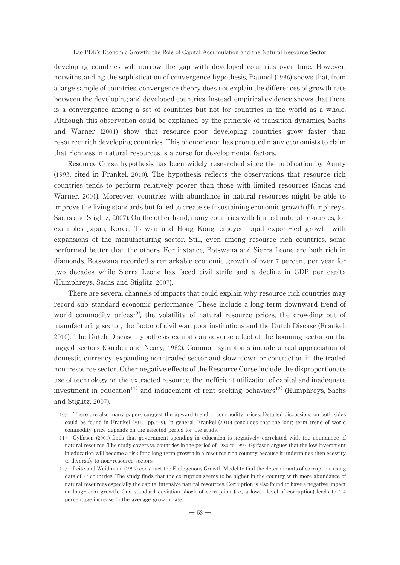developing countries will narrow the gap with developed countries over time. However, notwithstanding the sophistication of convergence hypothesis, Baumol (1986) shows that, from a large sample of countries, convergence theory does not explain the differences of growth rate between the developing and developed countries. Instead, empirical evidence shows that there is a convergence among a set of countries but not for countries in the world as a whole. Although this observation could be explained by the principle of transition dynamics, Sachs and Warner (2001) show that resource-poor developing countries grow faster than resource-rich developing countries. This phenomenon has prompted many economists to claim that richness in natural resources is a curse for developmental factors.

Resource Curse hypothesis has been widely researched since the publication by Aunty (1993, cited in Frankel, 2010). The hypothesis reflects the observations that resource rich countries tends to perform relatively poorer than those with limited resources (Sachs and Warner, 2001). Moreover, countries with abundance in natural resources might be able to improve the living standards but failed to create self-sustaining economic growth (Humphreys, Sachs and Stiglitz, 2007). On the other hand, many countries with limited natural resources, for examples Japan, Korea, Taiwan and Hong Kong, enjoyed rapid export-led growth with expansions of the manufacturing sector. Still, even among resource rich countries, some performed better than the others. For instance, Botswana and Sierra Leone are both rich in diamonds. Botswana recorded a remarkable economic growth of over 7 percent per year for two decades while Sierra Leone has faced civil strife and a decline in GDP per capita (Humphreys, Sachs and Stiglitz, 2007).

There are several channels of impacts that could explain why resource rich countries may record sub-standard economic performance. These include a long term downward trend of world commodity prices<sup>10</sup>, the volatility of natural resource prices, the crowding out of manufacturing sector, the factor of civil war, poor institutions and the Dutch Disease (Frankel, 2010). The Dutch Disease hypothesis exhibits an adverse effect of the booming sector on the lagged sectors (Corden and Neary, 1982). Common symptoms include a real appreciation of domestic currency, expanding non-traded sector and slow-down or contraction in the traded non-resource sector. Other negative effects of the Resource Curse include the disproportionate use of technology on the extracted resource, the inefficient utilization of capital and inadequate investment in education<sup>11)</sup> and inducement of rent seeking behaviors<sup>12)</sup> (Humphreys, Sachs and Stiglitz, 2007).

<sup>10</sup>) There are also many papers suggest the upward trend in commodity prices. Detailed discussions on both sides could be found in Frankel (2010, pp.4-9). In general, Frankel (2010) concludes that the long-term trend of world commodity price depends on the selected period for the study.

<sup>11</sup>) Gylfason (2001) finds that government spending in education is negatively correlated with the abundance of natural resource. The study covers 90 countries in the period of 1980 to 1997. Gylfason argues that the low investment in education will become a risk for a long term growth in a resource rich country because it undermines then ecessity to diversify to non-resource sectors.

<sup>12</sup>) Leite and Weidmann (1999) construct the Endogenous Growth Model to find the determinants of corruption, using data of 77 countries. The study finds that the corruption seems to be higher in the country with more abundance of natural resources especially the capital intensive natural resources. Corruption is also found to have a negative impact on long-term growth. One standard deviation shock of corruption (i. e., a lower level of corruption) leads to 1. 4 percentage increase in the average growth rate.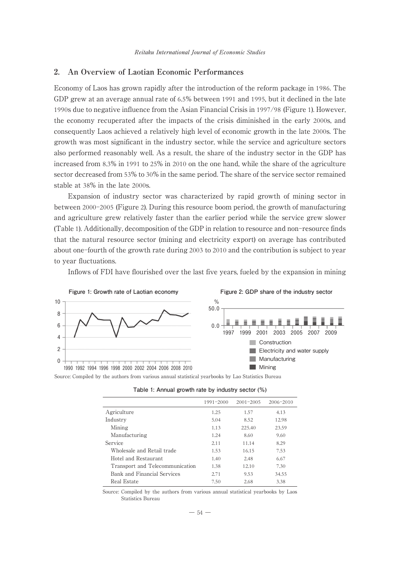## **2. An Overview of Laotian Economic Performances**

Economy of Laos has grown rapidly after the introduction of the reform package in 1986. The GDP grew at an average annual rate of 6.5% between 1991 and 1995, but it declined in the late 1990s due to negative influence from the Asian Financial Crisis in 1997/98 (Figure 1). However, the economy recuperated after the impacts of the crisis diminished in the early 2000s, and consequently Laos achieved a relatively high level of economic growth in the late 2000s. The growth was most significant in the industry sector, while the service and agriculture sectors also performed reasonably well. As a result, the share of the industry sector in the GDP has increased from 8.3% in 1991 to 25% in 2010 on the one hand, while the share of the agriculture sector decreased from 53% to 30% in the same period. The share of the service sector remained stable at 38% in the late 2000s.

Expansion of industry sector was characterized by rapid growth of mining sector in between 2000-2005 (Figure 2). During this resource boom period, the growth of manufacturing and agriculture grew relatively faster than the earlier period while the service grew slower (Table 1). Additionally, decomposition of the GDP in relation to resource and non-resource finds that the natural resource sector (mining and electricity export) on average has contributed about one-fourth of the growth rate during 2003 to 2010 and the contribution is subject to year to year fluctuations.

Inflows of FDI have flourished over the last five years, fueled by the expansion in mining



Source: Compiled by the authors from various annual statistical yearbooks by Lao Statistics Bureau

| Table 1: Annual growth rate by industry sector (%) |  |  |  |  |  |
|----------------------------------------------------|--|--|--|--|--|
|----------------------------------------------------|--|--|--|--|--|

|                                 | 1991-2000 | $2001 - 2005$ | 2006-2010 |
|---------------------------------|-----------|---------------|-----------|
| Agriculture                     | 1.25      | 1.57          | 4.13      |
| Industry                        | 5.04      | 8.52          | 12.98     |
| Mining                          | 1.13      | 225.40        | 23.59     |
| Manufacturing                   | 1.24      | 8.60          | 9.60      |
| Service                         | 2.11      | 11.14         | 8.29      |
| Wholesale and Retail trade      | 1.53      | 16.15         | 7.53      |
| Hotel and Restaurant            | 1.40      | 2.48          | 6.67      |
| Transport and Telecommunication | 1.38      | 12.10         | 7.30      |
| Bank and Financial Services     | 2.71      | 9.53          | 34.55     |
| Real Estate                     | 7.50      | 2.68          | 3.38      |

Source: Compiled by the authors from various annual statistical yearbooks by Laos Statistics Bureau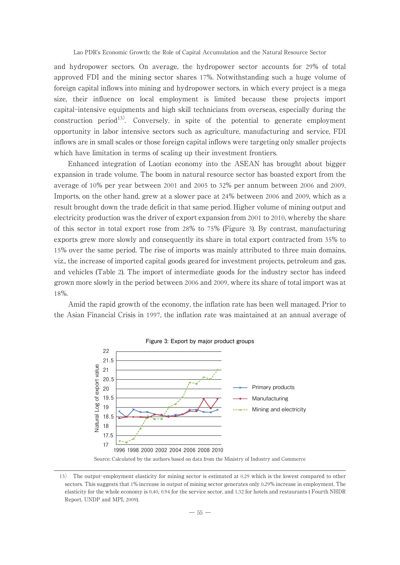and hydropower sectors. On average, the hydropower sector accounts for 29% of total approved FDI and the mining sector shares 17%. Notwithstanding such a huge volume of foreign capital inflows into mining and hydropower sectors, in which every project is a mega size, their influence on local employment is limited because these projects import capital-intensive equipments and high skill technicians from overseas, especially during the construction period<sup>13)</sup>. Conversely, in spite of the potential to generate employment opportunity in labor intensive sectors such as agriculture, manufacturing and service, FDI inflows are in small scales or those foreign capital inflows were targeting only smaller projects which have limitation in terms of scaling up their investment frontiers.

Enhanced integration of Laotian economy into the ASEAN has brought about bigger expansion in trade volume. The boom in natural resource sector has boasted export from the average of 10% per year between 2001 and 2005 to 32% per annum between 2006 and 2009. Imports, on the other hand, grew at a slower pace at 24% between 2006 and 2009, which as a result brought down the trade deficit in that same period. Higher volume of mining output and electricity production was the driver of export expansion from 2001 to 2010, whereby the share of this sector in total export rose from 28% to 75% (Figure 3). By contrast, manufacturing exports grew more slowly and consequently its share in total export contracted from 35% to 15% over the same period. The rise of imports was mainly attributed to three main domains, viz., the increase of imported capital goods geared for investment projects, petroleum and gas, and vehicles (Table 2). The import of intermediate goods for the industry sector has indeed grown more slowly in the period between 2006 and 2009, where its share of total import was at 18%.

Amid the rapid growth of the economy, the inflation rate has been well managed. Prior to the Asian Financial Crisis in 1997, the inflation rate was maintained at an annual average of



<sup>13</sup>) The output-employment elasticity for mining sector is estimated at 0.29 which is the lowest compared to other sectors. This suggests that 1% increase in output of mining sector generates only 0.29% increase in employment. The elasticity for the whole economy is 0.40, 0.94 for the service sector, and 1.32 for hotels and restaurants ( Fourth NHDR Report, UNDP and MPI, 2009).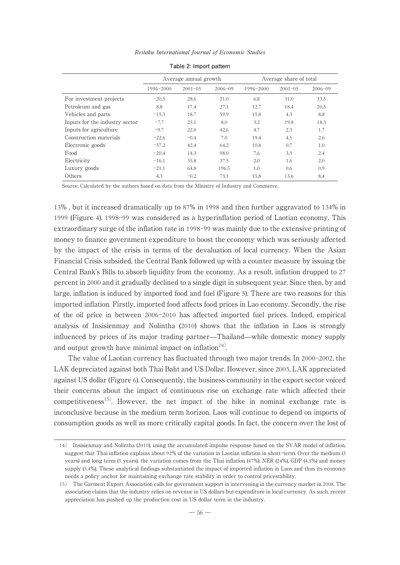|                                |           | Average annual growth |             | Average share of total |             |             |
|--------------------------------|-----------|-----------------------|-------------|------------------------|-------------|-------------|
|                                | 1996-2000 | $2001 - 05$           | $2006 - 09$ | 1996-2000              | $2001 - 05$ | $2006 - 09$ |
| For investment projects        | $-20.5$   | 28.6                  | 21.0        | 6.8                    | 31.0        | 33.5        |
| Petroleum and gas              | 8.8       | 17.4                  | 27.1        | 12.7                   | 18.4        | 20.5        |
| Vehicles and parts             | $-15.3$   | 18.7                  | 59.9        | 15.8                   | 4.3         | 8.8         |
| Inputs for the industry sector | $-7.7$    | 23.1                  | 8.0         | 3.2                    | 19.8        | 18.3        |
| Inputs for agriculture         | $-9.7$    | 22.0                  | 42.6        | 4.7                    | 2.3         | 1.7         |
| Construction materials         | $-22.6$   | $-0.4$                | 7.0         | 19.4                   | 4.5         | 2.6         |
| Electronic goods               | $-37.2$   | 42.4                  | 64.2        | 10.8                   | 0.7         | 1.0         |
| Food                           | $-20.4$   | 14.3                  | 98.0        | 7.6                    | 3.3         | 2.4         |
| Electricity                    | $-16.1$   | 35.8                  | 37.5        | 2.0                    | 1.6         | 2.0         |
| Luxury goods                   | $-21.1$   | 64.8                  | 196.5       | 1.0                    | 0.6         | 0.9         |
| Others                         | 4.3       | $-0.2$                | 73.1        | 15.8                   | 13.6        | 8.4         |
|                                |           |                       |             |                        |             |             |

Reitaku International Journal of Economic Studies **Table 2: Import pattern**

Source: Calculated by the authors based on data from the Ministry of Industry and Commerce.

13% , but it increased dramatically up to 87% in 1998 and then further aggravated to 134% in 1999 (Figure 4). 1998-99 was considered as a hyperinflation period of Laotian economy. This extraordinary surge of the inflation rate in 1998-99 was mainly due to the extensive printing of money to finance government expenditure to boost the economy which was seriously affected by the impact of the crisis in terms of the devaluation of local currency. When the Asian Financial Crisis subsided, the Central Bank followed up with a counter measure by issuing the Central Bank's Bills to absorb liquidity from the economy. As a result, inflation dropped to 27 percent in 2000 and it gradually declined to a single digit in subsequent year. Since then, by and large, inflation is induced by imported food and fuel (Figure 5). There are two reasons for this imported inflation. Firstly, imported food affects food prices in Lao economy. Secondly, the rise of the oil price in between 2006-2010 has affected imported fuel prices. Indeed, empirical analysis of Insisienmay and Nolintha (2010) shows that the inflation in Laos is strongly influenced by prices of its major trading partner̶Thailand̶while domestic money supply and output growth have minimal impact on inflation $14$ <sup>14</sup>.

The value of Laotian currency has fluctuated through two major trends. In 2000-2002, the LAK depreciated against both Thai Baht and US Dollar. However, since 2003, LAK appreciated against US dollar (Figure 6). Consequently, the business community in the export sector voiced their concerns about the impact of continuous rise on exchange rate which affected their competitiveness<sup>15)</sup>. However, the net impact of the hike in nominal exchange rate is inconclusive because in the medium term horizon, Laos will continue to depend on imports of consumption goods as well as more critically capital goods. In fact, the concern over the lost of

<sup>14</sup>) Insisienmay and Nolintha (2010), using the accumulated impulse response based on the SVAR model of inflation, suggest that Thai inflation explains about 92% of the variation in Laotian inflation in short-term. Over the medium (3 years) and long term (5 years), the variation comes from the Thai inflation (47%), NER (24%), GDP (4.5%) and money supply (3.4%). These analytical findings substantiated the impact of imported inflation in Laos and thus its economy needs a policy anchor for maintaining exchange rate stability in order to control pricestability.

<sup>15</sup>) The Garment Export Association calls for government support in intervening in the currency market in 2008. The association claims that the industry relies on revenue in US dollars but expenditure in local currency. As such, recent appreciation has pushed up the production cost in US dollar term in the industry.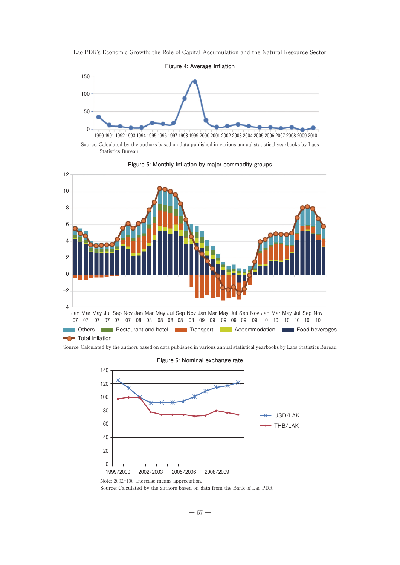

Source: Calculated by the authors based on data published in various annual statistical yearbooks by Laos Statistics Bureau



**Figure 5: Monthly Inflation by major commodity groups**

Source: Calculated by the authors based on data published in various annual statistical yearbooks by Laos Statistics Bureau



**Figure 6: Nominal exchange rate**

Source: Calculated by the authors based on data from the Bank of Lao PDR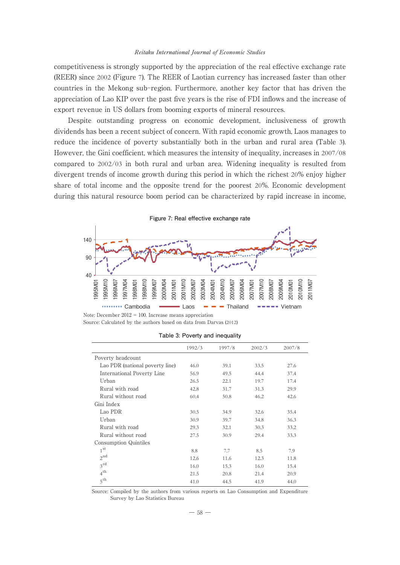#### Reitaku International Journal of Economic Studies

competitiveness is strongly supported by the appreciation of the real effective exchange rate (REER) since 2002 (Figure 7). The REER of Laotian currency has increased faster than other countries in the Mekong sub-region. Furthermore, another key factor that has driven the appreciation of Lao KIP over the past five years is the rise of FDI inflows and the increase of export revenue in US dollars from booming exports of mineral resources.

Despite outstanding progress on economic development, inclusiveness of growth dividends has been a recent subject of concern. With rapid economic growth, Laos manages to reduce the incidence of poverty substantially both in the urban and rural area (Table 3). However, the Gini coefficient, which measures the intensity of inequality, increases in 2007/08 compared to 2002/03 in both rural and urban area. Widening inequality is resulted from divergent trends of income growth during this period in which the richest 20% enjoy higher share of total income and the opposite trend for the poorest 20%. Economic development during this natural resource boom period can be characterized by rapid increase in income,



Note: December 2012 = 100. Increase means appreciation Source: Calculated by the authors based on data from Darvas (2012)

**Table 3: Poverty and inequality**

|                                 | 1992/3 | 1997/8 | 2002/3 | 2007/8 |
|---------------------------------|--------|--------|--------|--------|
| Poverty headcount               |        |        |        |        |
| Lao PDR (national poverty line) | 46.0   | 39.1   | 33.5   | 27.6   |
| International Poverty Line      | 56.9   | 49.5   | 44.4   | 37.4   |
| Urban                           | 26.5   | 22.1   | 19.7   | 17.4   |
| Rural with road                 | 42.8   | 31.7   | 31.3   | 29.9   |
| Rural without road              | 60.4   | 50.8   | 46.2   | 42.6   |
| Gini Index                      |        |        |        |        |
| Lao PDR                         | 30.5   | 34.9   | 32.6   | 35.4   |
| Urban                           | 30.9   | 39.7   | 34.8   | 36.3   |
| Rural with road                 | 29.3   | 32.1   | 30.3   | 33.2   |
| Rural without road              | 27.5   | 30.9   | 29.4   | 33.3   |
| Consumption Quintiles           |        |        |        |        |
| 1 <sup>st</sup>                 | 8.8    | 7.7    | 8.5    | 7.9    |
| $2^{nd}$                        | 12.6   | 11.6   | 12.3   | 11.8   |
| $3^{\text{rd}}$                 | 16.0   | 15.3   | 16.0   | 15.4   |
| 4 <sup>th</sup>                 | 21.5   | 20.8   | 21.4   | 20.9   |
| 5 <sup>th</sup>                 | 41.0   | 44.5   | 41.9   | 44.0   |

Source: Compiled by the authors from various reports on Lao Consumption and Expenditure Survey by Lao Statistics Bureau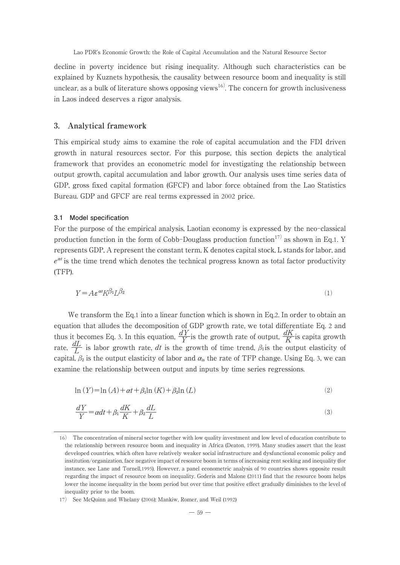decline in poverty incidence but rising inequality. Although such characteristics can be explained by Kuznets hypothesis, the causality between resource boom and inequality is still unclear, as a bulk of literature shows opposing views<sup>16)</sup>. The concern for growth inclusiveness in Laos indeed deserves a rigor analysis.

## **3. Analytical framework**

This empirical study aims to examine the role of capital accumulation and the FDI driven growth in natural resources sector. For this purpose, this section depicts the analytical framework that provides an econometric model for investigating the relationship between output growth, capital accumulation and labor growth. Our analysis uses time series data of GDP, gross fixed capital formation (GFCF) and labor force obtained from the Lao Statistics Bureau. GDP and GFCF are real terms expressed in 2002 price.

#### **3.1 Model specification**

For the purpose of the empirical analysis, Laotian economy is expressed by the neo-classical production function in the form of Cobb-Douglass production function<sup>17)</sup> as shown in Eq.1. Y represents GDP, A represent the constant term, K denotes capital stock, L stands for labor, and  $e^{\alpha t}$  is the time trend which denotes the technical progress known as total factor productivity (TFP).

$$
Y = A \varepsilon^{\alpha t} K^{\beta_1} L^{\beta_2} \tag{1}
$$

We transform the Eq.1 into a linear function which is shown in Eq.2. In order to obtain an equation that alludes the decomposition of GDP growth rate, we total differentiate Eq. 2 and thus it becomes Eq. 3. In this equation,  $\frac{dY}{Y}$  is the growth rate of output,  $\frac{dK}{K}$  is capita growth rate,  $\frac{dL}{L}$  is labor growth rate, *dt* is the growth of time trend,  $\beta_1$  is the output elasticity of capital,  $\beta_2$  is the output elasticity of labor and  $\alpha_{\rm is}$  the rate of TFP change. Using Eq. 3, we can examine the relationship between output and inputs by time series regressions.

$$
\ln(Y) = \ln(A) + \alpha t + \beta_1 \ln(K) + \beta_2 \ln(L) \tag{2}
$$

$$
\frac{dY}{Y} = adt + \beta_1 \frac{dK}{K} + \beta_2 \frac{dL}{L}
$$
\n(3)

<sup>16</sup>) The concentration of mineral sector together with low quality investment and low level of education contribute to the relationship between resource boom and inequality in Africa (Deaton, 1999). Many studies assert that the least developed countries, which often have relatively weaker social infrastructure and dysfunctional economic policy and institution/organization, face negative impact of resource boom in terms of increasing rent seeking and inequality (for instance, see Lane and Tornell,1995). However, a panel econometric analysis of 90 countries shows opposite result regarding the impact of resource boom on inequality. Goderis and Malone (2011) find that the resource boom helps lower the income inequality in the boom period but over time that positive effect gradually diminishes to the level of inequality prior to the boom.

<sup>17</sup>) See McQuinn and Whelany (2006); Mankiw, Romer, and Weil (1992)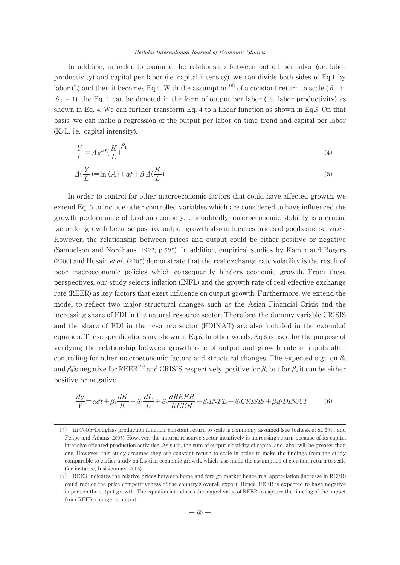#### Reitaku International Journal of Economic Studies

In addition, in order to examine the relationship between output per labor (i. e. labor productivity) and capital per labor (i.e. capital intensity), we can divide both sides of Eq.1 by labor (L) and then it becomes Eq.4. With the assumption<sup>18)</sup> of a constant return to scale ( $\beta_1$  +  $\beta_2$  = 1), the Eq. 1 can be denoted in the form of output per labor (i.e., labor productivity) as shown in Eq. 4. We can further transform Eq. 4 to a linear function as shown in Eq.5. On that basis, we can make a regression of the output per labor on time trend and capital per labor (K/L, i.e., capital intensity).

$$
\frac{Y}{L} = A \varepsilon^{\alpha T} \left(\frac{K}{L}\right)^{\beta_1} \tag{4}
$$

$$
\Delta\left(\frac{Y}{L}\right) = \ln\left(A\right) + \alpha t + \beta_1 \Delta\left(\frac{K}{L}\right) \tag{5}
$$

In order to control for other macroeconomic factors that could have affected growth, we extend Eq. 3 to include other controlled variables which are considered to have influenced the growth performance of Laotian economy. Undoubtedly, macroeconomic stability is a crucial factor for growth because positive output growth also influences prices of goods and services. However, the relationship between prices and output could be either positive or negative (Samuelson and Nordhaus, 1992, p.595). In addition, empirical studies by Kamin and Rogers (2000) and Husain et al. (2005) demonstrate that the real exchange rate volatility is the result of poor macroeconomic policies which consequently hinders economic growth. From these perspectives, our study selects inflation (INFL) and the growth rate of real effective exchange rate (REER) as key factors that exert influence on output growth. Furthermore, we extend the model to reflect two major structural changes such as the Asian Financial Crisis and the increasing share of FDI in the natural resource sector. Therefore, the dummy variable CRISIS and the share of FDI in the resource sector (FDINAT) are also included in the extended equation. These specifications are shown in Eq.6. In other words, Eq.6 is used for the purpose of verifying the relationship between growth rate of output and growth rate of inputs after controlling for other macroeconomic factors and structural changes. The expected sign on  $\beta_3$ and  $\beta_5$ is negative for REER<sup>19)</sup> and CRISIS respectively, positive for  $\beta_6$  but for  $\beta_4$  it can be either positive or negative.

$$
\frac{dy}{Y} = \alpha dt + \beta_1 \frac{dK}{K} + \beta_2 \frac{dL}{L} + \beta_3 \frac{dREER}{REER} + \beta_4 INFL + \beta_5 CRISIS + \beta_6 FDINAT \tag{6}
$$

<sup>18</sup>) In Cobb-Douglass production function, constant return to scale is commonly assumed (see Joshesk et al, 2011 and Felipe and Adams, 2005). However, the natural resource sector intuitively is increasing return because of its capital intensive oriented production activities. As such, the sum of output elasticity of capital and labor will be greater than one. However, this study assumes they are constant return to scale in order to make the findings from the study comparable to earlier study on Laotian economic growth, which also made the assumption of constant return to scale (for instance, Insisienmay, 2006).

<sup>19</sup>) REER indicates the relative prices between home and foreign market hence real appreciation (increase in REER) could reduce the price competitiveness of the country's overall export. Hence, REER is expected to have negative impact on the output growth. The equation introduces the lagged value of REER to capture the time lag of the impact from REER change to output.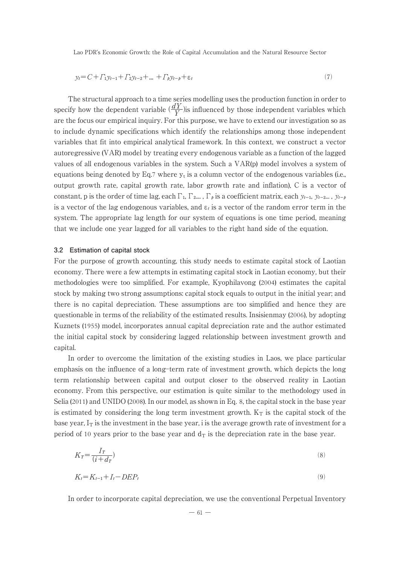$$
y_t = C + \Gamma_1 y_{t-1} + \Gamma_2 y_{t-2} + \dots + \Gamma_p y_{t-p} + \varepsilon_t
$$
\n(7)

The structural approach to a time series modelling uses the production function in order to specify how the dependent variable  $\left(\frac{dY}{Y}\right)$  is influenced by those independent variables which are the focus our empirical inquiry. For this purpose, we have to extend our investigation so as to include dynamic specifications which identify the relationships among those independent variables that fit into empirical analytical framework. In this context, we construct a vector autoregressive (VAR) model by treating every endogenous variable as a function of the lagged values of all endogenous variables in the system. Such a VAR(p) model involves a system of equations being denoted by Eq.7 where  $y_t$  is a column vector of the endogenous variables (i.e., output growth rate, capital growth rate, labor growth rate and inflation), C is a vector of constant, p is the order of time lag, each  $\Gamma_1$ ,  $\Gamma_2$ ....,  $\Gamma_\rho$  is a coefficient matrix, each  $y_{t-1}$ ,  $y_{t-2}$ ...,  $y_{t-\rho}$ is a vector of the lag endogenous variables, and  $\varepsilon_t$  is a vector of the random error term in the system. The appropriate lag length for our system of equations is one time period, meaning that we include one year lagged for all variables to the right hand side of the equation.

#### **3.2 Estimation of capital stock**

For the purpose of growth accounting, this study needs to estimate capital stock of Laotian economy. There were a few attempts in estimating capital stock in Laotian economy, but their methodologies were too simplified. For example, Kyophilavong (2004) estimates the capital stock by making two strong assumptions: capital stock equals to output in the initial year; and there is no capital depreciation. These assumptions are too simplified and hence they are questionable in terms of the reliability of the estimated results. Insisienmay (2006), by adopting Kuznets (1955) model, incorporates annual capital depreciation rate and the author estimated the initial capital stock by considering lagged relationship between investment growth and capital.

In order to overcome the limitation of the existing studies in Laos, we place particular emphasis on the influence of a long-term rate of investment growth, which depicts the long term relationship between capital and output closer to the observed reality in Laotian economy. From this perspective, our estimation is quite similar to the methodology used in Selia (2011) and UNIDO (2008). In our model, as shown in Eq. 8, the capital stock in the base year is estimated by considering the long term investment growth.  $K_T$  is the capital stock of the base year,  $I_T$  is the investment in the base year, i is the average growth rate of investment for a period of 10 years prior to the base year and  $d<sub>T</sub>$  is the depreciation rate in the base year.

$$
K_T = \frac{I_T}{(i + d_T)}\tag{8}
$$

$$
K_t = K_{t-1} + I_t - DEP_t \tag{9}
$$

In order to incorporate capital depreciation, we use the conventional Perpetual Inventory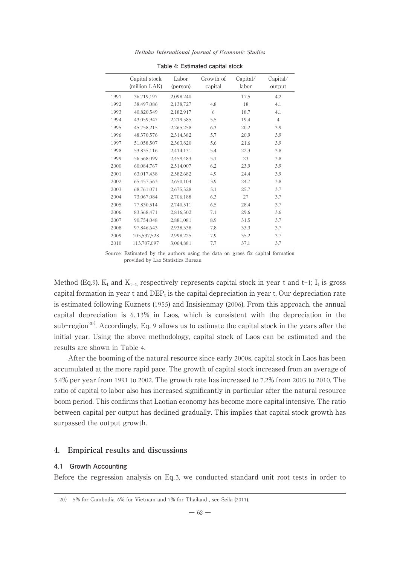|      | Capital stock<br>(million LAK) | Labor<br>(person) | Growth of<br>capital | Capital/<br>labor | Capital/<br>output |
|------|--------------------------------|-------------------|----------------------|-------------------|--------------------|
| 1991 | 36,719,197                     | 2.098.240         |                      | 17.5              | 4.2                |
| 1992 | 38,497,086                     | 2,138,727         | 4.8                  | 18                | 4.1                |
| 1993 | 40,820,549                     | 2,182,917         | 6                    | 18.7              | 4.1                |
| 1994 | 43,059,947                     | 2,219,585         | 5.5                  | 19.4              | $\overline{4}$     |
| 1995 | 45,758,215                     | 2,265,258         | 6.3                  | 20.2              | 3.9                |
| 1996 | 48,370,576                     | 2,314,382         | 5.7                  | 20.9              | 3.9                |
| 1997 | 51,058,507                     | 2,363,820         | 5.6                  | 21.6              | 3.9                |
| 1998 | 53.835.116                     | 2,414,131         | 5.4                  | 22.3              | 3.8                |
| 1999 | 56,568,099                     | 2,459,483         | 5.1                  | 23                | 3.8                |
| 2000 | 60,084,767                     | 2.514.007         | 6.2                  | 23.9              | 3.9                |
| 2001 | 63,017,438                     | 2,582,682         | 4.9                  | 24.4              | 3.9                |
| 2002 | 65,457,563                     | 2,650,104         | 3.9                  | 24.7              | 3.8                |
| 2003 | 68,761,071                     | 2,675,528         | 5.1                  | 25.7              | 3.7                |
| 2004 | 73,067,084                     | 2,706,188         | 6.3                  | 27                | 3.7                |
| 2005 | 77,830,514                     | 2,740,511         | 6.5                  | 28.4              | 3.7                |
| 2006 | 83,368,471                     | 2,816,502         | 7.1                  | 29.6              | 3.6                |
| 2007 | 90,754,048                     | 2,881,081         | 8.9                  | 31.5              | 3.7                |
| 2008 | 97.846.643                     | 2,938,338         | 7.8                  | 33.3              | 3.7                |
| 2009 | 105.537.528                    | 2,998,225         | 7.9                  | 35.2              | 3.7                |
| 2010 | 113,707,097                    | 3,064,881         | 7.7                  | 37.1              | 3.7                |

Reitaku International Journal of Economic Studies **Table 4: Estimated capital stock**

Method (Eq.9).  $K_t$  and  $K_{t-1}$ , respectively represents capital stock in year t and t-1;  $I_t$  is gross capital formation in year t and  $DEF<sub>t</sub>$  is the capital depreciation in year t. Our depreciation rate is estimated following Kuznets (1955) and Insisienmay (2006). From this approach, the annual capital depreciation is 6. 13% in Laos, which is consistent with the depreciation in the sub-region<sup>20)</sup>. Accordingly, Eq. 9 allows us to estimate the capital stock in the years after the initial year. Using the above methodology, capital stock of Laos can be estimated and the results are shown in Table 4.

After the booming of the natural resource since early 2000s, capital stock in Laos has been accumulated at the more rapid pace. The growth of capital stock increased from an average of 5.4% per year from 1991 to 2002. The growth rate has increased to 7.2% from 2003 to 2010. The ratio of capital to labor also has increased significantly in particular after the natural resource boom period. This confirms that Laotian economy has become more capital intensive. The ratio between capital per output has declined gradually. This implies that capital stock growth has surpassed the output growth.

## **4. Empirical results and discussions**

## **4.1 Growth Accounting**

Before the regression analysis on Eq.3, we conducted standard unit root tests in order to

Source: Estimated by the authors using the data on gross fix capital formation provided by Lao Statistics Bureau

<sup>20</sup>) 5% for Cambodia, 6% for Vietnam and 7% for Thailand , see Seila (2011).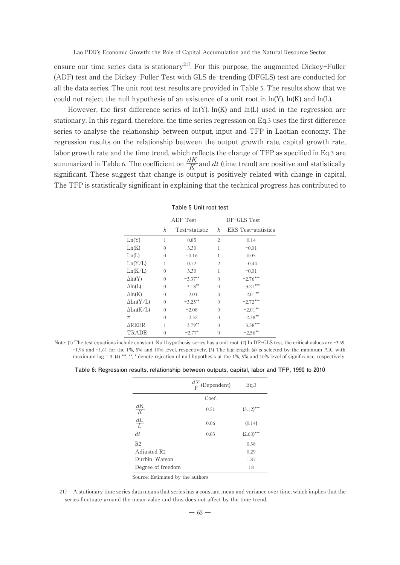ensure our time series data is stationary<sup>21)</sup>. For this purpose, the augmented Dickey-Fuller (ADF) test and the Dickey-Fuller Test with GLS de-trending (DFGLS) test are conducted for all the data series. The unit root test results are provided in Table 5. The results show that we could not reject the null hypothesis of an existence of a unit root in  $ln(Y)$ ,  $ln(K)$  and  $ln(L)$ .

However, the first difference series of  $ln(Y)$ ,  $ln(K)$  and  $ln(L)$  used in the regression are stationary. In this regard, therefore, the time series regression on Eq.3 uses the first difference series to analyse the relationship between output, input and TFP in Laotian economy. The regression results on the relationship between the output growth rate, capital growth rate, labor growth rate and the time trend, which reflects the change of TFP as specified in Eq.3 are summarized in Table 6. The coefficient on  $\frac{dK}{K}$  and  $dt$  (time trend) are positive and statistically significant. These suggest that change is output is positively related with change in capital. The TFP is statistically significant in explaining that the technical progress has contributed to

|                  |   | ADF Test       |          | DF-GLS Test                |
|------------------|---|----------------|----------|----------------------------|
|                  | k | Test-statistic | k        | <b>ERS</b> Test-statistics |
| Ln(Y)            | 1 | 0.85           | 2        | 0.14                       |
| Ln(K)            | 0 | 3.30           | 1        | $-0.01$                    |
| Ln(L)            | 0 | $-0.16$        | 1        | 0.05                       |
| Ln(Y/L)          | 1 | 0.72           | 2        | $-0.44$                    |
| Ln(K/L)          | 0 | 3.30           | 1        | $-0.01$                    |
| $\Delta$ ln(Y)   | 0 | $-3.37***$     | $\Omega$ | $-2.76***$                 |
| $\Delta$ ln(L)   | 0 | $-3.18***$     | 0        | $-3.27***$                 |
| $\Delta$ ln(K)   | 0 | $-2.01$        | $\Omega$ | $-2.01**$                  |
| $\Delta Ln(Y/L)$ | 0 | $-3.25***$     | 0        | $-2.72***$                 |
| $\Delta$ Ln(K/L) | 0 | $-2.08$        | 0        | $-2.01**$                  |
| π                | 0 | $-2.32$        | 0        | $-2.38**$                  |
| $\Delta$ REER    | 1 | $-3.79**$      | 0        | $-3.38***$                 |
| TRADE            | 0 | $-2.77*$       | 0        | $-2.56***$                 |

**Table 5 Unit root test**

Note: (1) The test equations include constant. Null hypothesis: series has a unit root. (2) In DF-GLS test, the critical values are -3.69,  $-1.96$  and  $-1.61$  for the 1%, 5% and 10% level, respectively. (3) The lag length (k) is selected by the minimum AIC with maximum lag = 3. (4) \*\*\*, \*\*, \* denote rejection of null hypothesis at the 1%, 5% and 10% level of significance, respectively.

| Table 6: Regression results, relationship between outputs, capital, labor and TFP, 1990 to 2010 |  |  |  |  |  |
|-------------------------------------------------------------------------------------------------|--|--|--|--|--|
|-------------------------------------------------------------------------------------------------|--|--|--|--|--|

|                         | $\frac{dY}{V}$<br>(Dependent) | Eq.3         |
|-------------------------|-------------------------------|--------------|
|                         | Coef.                         |              |
| $\frac{dK}{K}$          | 0.51                          | $(3.12)$ *** |
| $\frac{dL}{L}$          | 0.06                          | (0.14)       |
| dt                      | 0.03                          | $(2.60)$ *** |
| R <sub>2</sub>          |                               | 0.38         |
| Adjusted R <sub>2</sub> |                               | 0.29         |
| Durbin-Watson           |                               | 1.87         |
| Degree of freedom       |                               | 18           |

21) A stationary time series data means that series has a constant mean and variance over time, which implies that the series fluctuate around the mean value and thus does not affect by the time trend.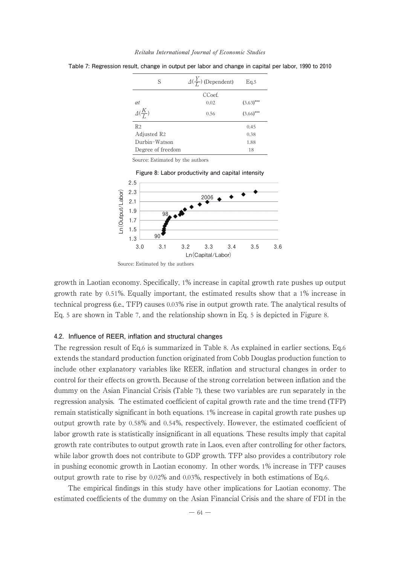| Reitaku International Journal of Economic Studies |  |
|---------------------------------------------------|--|
|---------------------------------------------------|--|

| S                       | $\Delta(\frac{Y}{I})$ (Dependent) | Eq.5         |
|-------------------------|-----------------------------------|--------------|
|                         | CCoef.                            |              |
| $\alpha t$              | 0.02                              | $(3.63)$ *** |
| $\Delta(\frac{K}{I})$   | 0.56                              | $(3.66)$ *** |
| R <sub>2</sub>          |                                   | 0.45         |
| Adjusted R <sub>2</sub> |                                   | 0.38         |
| Durbin-Watson           |                                   | 1.88         |
| Degree of freedom       |                                   | 18           |

**Table 7: Regression result, change in output per labor and change in capital per labor, 1990 to 2010**

Source: Estimated by the authors



growth in Laotian economy. Specifically, 1% increase in capital growth rate pushes up output growth rate by 0.51%. Equally important, the estimated results show that a 1% increase in technical progress (i.e., TFP) causes 0.03% rise in output growth rate. The analytical results of Eq. 5 are shown in Table 7, and the relationship shown in Eq. 5 is depicted in Figure 8.

#### **4.2. Influence of REER, inflation and structural changes**

The regression result of Eq.6 is summarized in Table 8. As explained in earlier sections, Eq.6 extends the standard production function originated from Cobb Douglas production function to include other explanatory variables like REER, inflation and structural changes in order to control for their effects on growth. Because of the strong correlation between inflation and the dummy on the Asian Financial Crisis (Table 7), these two variables are run separately in the regression analysis. The estimated coefficient of capital growth rate and the time trend (TFP) remain statistically significant in both equations. 1% increase in capital growth rate pushes up output growth rate by 0.58% and 0.54%, respectively. However, the estimated coefficient of labor growth rate is statistically insignificant in all equations. These results imply that capital growth rate contributes to output growth rate in Laos, even after controlling for other factors, while labor growth does not contribute to GDP growth. TFP also provides a contributory role in pushing economic growth in Laotian economy. In other words, 1% increase in TFP causes output growth rate to rise by  $0.02\%$  and  $0.03\%$ , respectively in both estimations of Eq.6.

The empirical findings in this study have other implications for Laotian economy. The estimated coefficients of the dummy on the Asian Financial Crisis and the share of FDI in the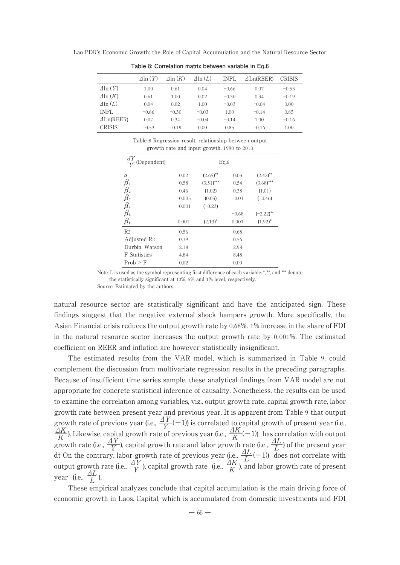|                       | $\Delta$ ln $(Y)$ | $\Delta$ ln $(K)$ | $\Delta$ ln $(L)$ | <b>INFL</b> | $\triangle Ln$ (REER) | <b>CRISIS</b> |
|-----------------------|-------------------|-------------------|-------------------|-------------|-----------------------|---------------|
| $\Delta$ ln $(Y)$     | 1.00              | 0.61              | 0.04              | $-0.66$     | 0.07                  | $-0.53$       |
| $\Delta$ ln $(K)$     | 0.61              | 1.00              | 0.02              | $-0.30$     | 0.34                  | $-0.19$       |
| $\Delta$ ln $(L)$     | 0.04              | 0.02              | 1.00              | $-0.03$     | $-0.04$               | 0.00          |
| <b>INFL</b>           | $-0.66$           | $-0.30$           | $-0.03$           | 1.00        | $-0.14$               | 0.85          |
| $\triangle Ln$ (REER) | 0.07              | 0.34              | $-0.04$           | $-0.14$     | 1.00                  | $-0.16$       |
| <b>CRISIS</b>         | $-0.53$           | $-0.19$           | 0.00              | 0.85        | $-0.16$               | 1.00          |

**Table 8: Correlation matrix between variable in Eq.6**

Table 8 Regression result, relationship between output growth rate and input growth, 1990 to 2010

| dY<br>(Dependent)               |          | Eq.6                   |         |                        |
|---------------------------------|----------|------------------------|---------|------------------------|
| $\alpha$                        | 0.02     | $(2.65)$ <sup>**</sup> | 0.03    | $(2.42)$ <sup>**</sup> |
| $\beta_{\scriptscriptstyle{1}}$ | 0.58     | $(3.51)$ ***           | 0.54    | $(3.68)$ ***           |
| $\beta_{2}$                     | 0.46     | (1.02)                 | 0.38    | (1.01)                 |
| $\beta_{\scriptscriptstyle 3}$  | $-0.005$ | (0.03)                 | $-0.01$ | $(-0.46)$              |
| $\beta_{\scriptscriptstyle 4}$  | $-0.001$ | $(-0.23)$              |         |                        |
| $\beta_{\scriptscriptstyle{5}}$ |          |                        | $-0.68$ | $(-2.22)$ **           |
| $\beta$ 6                       | 0.001    | $(2.13)^*$             | 0.001   | $(1.92)^*$             |
| R <sub>2</sub>                  | 0.56     |                        | 0.68    |                        |
| Adjusted R <sub>2</sub>         | 0.39     |                        | 0.56    |                        |
| Durbin-Watson                   | 2.18     |                        | 2.98    |                        |
| <b>F</b> Statistics             | 4.84     |                        | 8.48    |                        |
| $Prob$ > $F$                    | 0.02     |                        | 0.00    |                        |

Note: L is used as the symbol representing first difference of each variable. \*, \*\*, and \*\*\* denote the statistically significant at 10%, 5% and 1% level, respectively.

Source: Estimated by the authors.

natural resource sector are statistically significant and have the anticipated sign. These findings suggest that the negative external shock hampers growth. More specifically, the Asian Financial crisis reduces the output growth rate by 0.68%. 1% increase in the share of FDI in the natural resource sector increases the output growth rate by 0.001%. The estimated coefficient on REER and inflation are however statistically insignificant.

The estimated results from the VAR model, which is summarized in Table 9, could complement the discussion from multivariate regression results in the preceding paragraphs. Because of insufficient time series sample, these analytical findings from VAR model are not appropriate for concrete statistical inference of causality. Nonetheless, the results can be used to examine the correlation among variables, viz., output growth rate, capital growth rate, labor growth rate between present year and previous year. It is apparent from Table 9 that output growth rate of previous year (i.e.,  $\frac{\Delta Y}{Y}(-1)$ ) is correlated to capital growth of present year (i.e.,  $\frac{\Delta K}{K}$ ). Likewise, capital growth rate of previous year (i.e.,  $\frac{\Delta K}{K}(-1)$ ) has correlation with output growth rate (i.e.,  $\frac{\Delta Y}{Y}$ ), capital growth rate and labor growth rate (i.e.,  $\frac{\Delta L}{L}$ ) of the present year dt On the contrary, labor growth rate of previous year (i.e.,  $\frac{\Delta L}{L}$  –1)) does not correlate with output growth rate (i.e.,  $\frac{\Delta Y}{Y}$ ), capital growth rate (i.e.,  $\frac{\Delta K}{K}$ ), and labor growth rate of present year (i.e., *ΔL <sup>L</sup>* ).

These empirical analyzes conclude that capital accumulation is the main driving force of economic growth in Laos. Capital, which is accumulated from domestic investments and FDI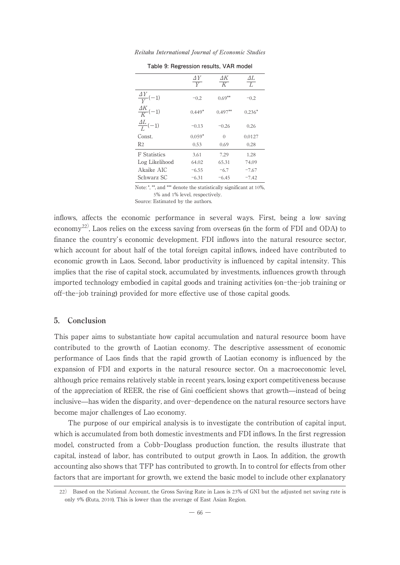| Table 9: Regression results, VAR model |                      |                      |                      |
|----------------------------------------|----------------------|----------------------|----------------------|
|                                        | $\frac{\Delta Y}{Y}$ | ΔK<br>$\overline{K}$ | $\frac{\Delta L}{L}$ |
| $\frac{\Delta Y}{V}(-1)$               | $-0.2$               | $0.69**$             | $-0.2$               |
| $\frac{\Delta K}{K}(-1)$               | $0.449*$             | $0.497**$            | $0.236*$             |
| $\frac{\Delta L}{I}(-1)$               | $-0.13$              | $-0.26$              | 0.26                 |
| Const.                                 | $0.059*$             | $\Omega$             | 0.0127               |
| R2                                     | 0.53                 | 0.69                 | 0.28                 |
| F Statistics                           | 3.61                 | 7.29                 | 1.28                 |
| Log Likelihood                         | 64.02                | 65.31                | 74.09                |
| Akaike AIC                             | $-6.55$              | $-6.7$               | $-7.67$              |
| Schwarz SC                             | $-6.31$              | $-6.45$              | $-7.42$              |

Reitaku International Journal of Economic Studies

Note: \*, \*\*, and \*\*\* denote the statistically significant at 10%, 5% and 1% level, respectively.

Source: Estimated by the authors.

inflows, affects the economic performance in several ways. First, being a low saving economy<sup>22)</sup>, Laos relies on the excess saving from overseas (in the form of FDI and ODA) to finance the country's economic development. FDI inflows into the natural resource sector, which account for about half of the total foreign capital inflows, indeed have contributed to economic growth in Laos. Second, labor productivity is influenced by capital intensity. This implies that the rise of capital stock, accumulated by investments, influences growth through imported technology embodied in capital goods and training activities (on-the-job training or off-the-job training) provided for more effective use of those capital goods.

# **5. Conclusion**

This paper aims to substantiate how capital accumulation and natural resource boom have contributed to the growth of Laotian economy. The descriptive assessment of economic performance of Laos finds that the rapid growth of Laotian economy is influenced by the expansion of FDI and exports in the natural resource sector. On a macroeconomic level, although price remains relatively stable in recent years, losing export competitiveness because of the appreciation of REER, the rise of Gini coefficient shows that growth̶instead of being inclusive̶has widen the disparity, and over-dependence on the natural resource sectors have become major challenges of Lao economy.

The purpose of our empirical analysis is to investigate the contribution of capital input, which is accumulated from both domestic investments and FDI inflows. In the first regression model, constructed from a Cobb-Douglass production function, the results illustrate that capital, instead of labor, has contributed to output growth in Laos. In addition, the growth accounting also shows that TFP has contributed to growth. In to control for effects from other factors that are important for growth, we extend the basic model to include other explanatory

<sup>22</sup>) Based on the National Account, the Gross Saving Rate in Laos is 23% of GNI but the adjusted net saving rate is only 9% (Ruta, 2010). This is lower than the average of East Asian Region.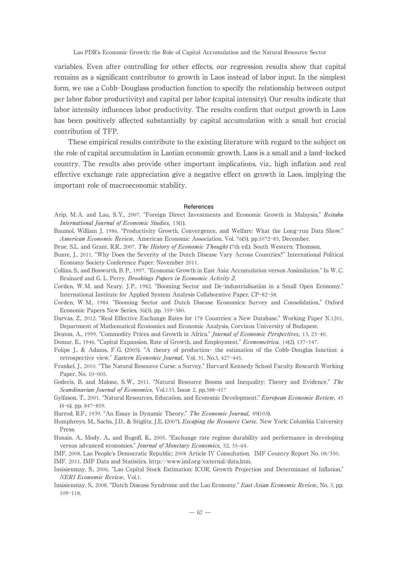variables. Even after controlling for other effects, our regression results show that capital remains as a significant contributor to growth in Laos instead of labor input. In the simplest form, we use a Cobb-Douglass production function to specify the relationship between output per labor (labor productivity) and capital per labor (capital intensity). Our results indicate that labor intensity influences labor productivity. The results confirm that output growth in Laos has been positively affected substantially by capital accumulation with a small but crucial contribution of TFP.

These empirical results contribute to the existing literature with regard to the subject on the role of capital accumulation in Laotian economic growth. Laos is a small and a land-locked country. The results also provide other important implications, viz., high inflation and real effective exchange rate appreciation give a negative effect on growth in Laos, implying the important role of macroeconomic stability.

#### **References**

- Arip, M. A. and Lau, S. Y., 2007. "Foreign Direct Investments and Economic Growth in Malaysia," Reitaku International Journal of Economic Studies, 15(1).
- Baumol, William J, 1986. "Productivity Growth, Convergence, and Welfare: What the Long-run Data Show." American Economic Review, American Economic Association, Vol. 76(5), pp.1072-85, December.
- Brue, S.L. and Grant, R.R., 2007. The History of Economic Thought (7th ed.). South Western: Thomson.
- Bunte, J., 2011. "Why Does the Severity of the Dutch Disease Vary Across Countries?" International Political Economy Society Conference Paper, November 2011.
- Collins, S., and Bosworth, B. P., 1997. "Economic Growth in East Asia: Accumulation versus Assimilation." In W. C. Brainard and G. L. Perry, Brookings Papers in Economic Activity 2.

Corden, W.M. and Neary, J.P., 1982. "Booming Sector and De-industrialisation in a Small Open Economy." International Institute for Applied System Analysis Collaborative Paper, CP-82-58.

Corden, W. M., 1984. "Booming Sector and Dutch Disease Economics: Survey and Consolidation," Oxford Economic Papers New Series, 36(3). pp. 359-380.

Darvas, Z., 2012. "Real Effective Exchange Rates for 178 Countries: a New Database." Working Paper N.1201, Department of Mathematical Economics and Economic Analysis, Corvinus University of Budapest.

Deaton, A., 1999. "Commodity Prices and Growth in Africa." Journal of Economic Perspectives, 13, 23-40.

Domar, E., 1946. "Capital Expansion, Rate of Growth, and Employment." Econometrica. 14(2), 137-147.

- Felipe J., & Adams, F.G, (2005). "A theory of production- the estimation of the Cobb-Douglas function: a retrospective view," Eastern Economic Journal, Vol. 31, No.3, 427-445.
- Frankel, J., 2010. "The Natural Resource Curse: a Survey," Harvard Kennedy School Faculty Research Working Paper, No. 10-005.
- Goderis, B. and Malone, S. W., 2011. "Natural Resource Booms and Inequality: Theory and Evidence." The Scandinavian Journal of Economics, Vol.133, Issue 2, pp.388-417
- Gylfason, T., 2001. "Natural Resources, Education, and Economic Development." European Economic Review, 45 (4-6), pp. 847-859.

Harrod, R.F., 1939. "An Essay in Dynamic Theory." The Economic Journal, 49(103).

Humphreys, M., Sachs, J.D., & Stiglitz, J.E, (2007). Escaping the Resource Curse. New York: Columbia University Press.

Husain, A., Mody, A., and Rogoff, K., 2005. "Exchange rate regime durability and performance in developing versus advanced economies." Journal of Monetary Economics, 52, 35-64.

IMF. 2008. Lao People's Democratic Republic: 2008 Article IV Consultation. IMF Country Report No. 08/350. IMF. 2011. IMF Data and Statistics. http://www.imf.org/external/data.htm.

- Insisienmay, S., 2006. "Lao Capital Stock Estimation: ICOR, Growth Projection and Determinant of Inflation," NERI Economic Review, Vol.1.
- Insisienmay, S., 2008. "Dutch Disease Syndrome and the Lao Economy." East Asian Economic Review, No. 3, pp. 109-118.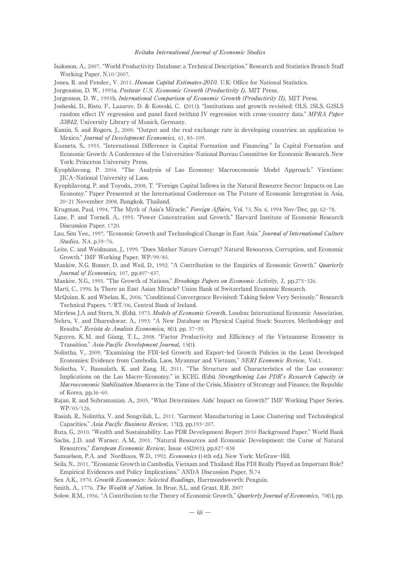Isaksson, A., 2007. "World Productivity Database: a Technical Description." Research and Statistics Branch Staff Working Paper, N.10/2007.

Jones, R. and Fender., V. 2011. *Human Capital Estimates-2010*. U.K: Office for National Statistics.

Jorgension, D. W., 1995a, Postwar U.S. Economic Growth (Productivity I), MIT Press.

Jorgenson, D. W., 1995b, International Comparison of Economic Growth (Productivity II), MIT Press.

- Josheski, D., Risto, F., Lazarov, D. & Koteski, C, (2011). "Institutions and growth revisited: OLS, 2SLS, G2SLS random effect IV regression and panel fixed (within) IV regression with cross-country data." MPRA Paper 33842, University Library of Munich, Germany.
- Kamin, S. and Rogers, J., 2000. "Output and the real exchange rate in developing countries: an application to Mexico." Journal of Development Economics, 61, 85-109.
- Kuznets, S., 1955. "International Difference in Capital Formation and Financing." In Capital Formation and Economic Growth: A Conference of the Universities-National Bureau Committee for Economic Research. New York: Princeton University Press.
- Kyophilavong, P. 2004. "The Analysis of Lao Economy: Macroeconomic Model Approach." Vientiane: JICA-National University of Laos.
- Kyophilavong, P. and Toyoda., 2008. T. "Foreign Capital Inflows in the Natural Resource Sector: Impacts on Lao Economy." Paper Presented at the International Conference on The Future of Economic Integration in Asia, 20-21 November 2008, Bangkok, Thailand.
- Krugman, Paul, 1994, "The Myth of Asia's Miracle," Foreign Affairs, Vol. 73, No. 6, 1994 Nov/Dec, pp. 62-78.
- Lane, P. and Tornell, A., 1995. "Power Concentration and Growth." Harvard Institute of Economic Research Discussion Paper, 1720.
- Lau, Sim Yee., 1997. "Economic Growth and Technological Change in East Asia." Journal of International Culture Studies, N.4, p.59-76.
- Leite, C. and Weidmann, J., 1999. "Does Mother Nature Corrupt? Natural Resources, Corruption, and Economic Growth." IMF Working Paper, WP/99/85.
- Mankiw, N.G, Romer, D. and Weil, D., 1992. "A Contribution to the Empirics of Economic Growth." Quarterly Journal of Economics, 107, pp.407-437.
- Mankiw, N.G., 1995. "The Growth of Nations." Brookings Papers on Economic Activity, 1, pp.275-326.
- Marti, C., 1996. Is There an East Asian Miracle? Union Bank of Switzerland Economic Research.
- McQuinn, K. and Whelan, K., 2006. "Conditional Convergence Revisited: Taking Solow Very Seriously." Research Technical Papers, 7/RT/06, Central Bank of Ireland.
- Mirrless J.A and Stern, N. (Eds). 1973. Models of Economic Growth, London: International Economic Association.
- Nehru, V. and Dhareshwar, A., 1993. "A New Database on Physical Capital Stock: Sources, Methodology and Results." Revista de Analisis Economica, 8(1), pp. 37-59.
- Nguyen, K, M. and Giang, T. L., 2008. "Factor Productivity and Efficiency of the Vietnamese Economy in Transition." Asia-Pacific Development Journal, 15(1).
- Nolintha, V., 2009. "Examining the FDI-led Growth and Export-led Growth Policies in the Least Developed Economies: Evidence from Cambodia, Laos, Myanmar and Vietnam," NERI Economic Review, Vol.1.
- Nolintha, V., Bannalath, K. and Zang, H., 2011. "The Structure and Characteristics of the Lao economy: Implications on the Lao Macro-Economy," in KCEG. (Eds). Strengthening Lao PDR's Research Capacity in Macroeconomic Stabilization Measures in the Time of the Crisis, Ministry of Strategy and Finance, the Republic of Korea, pp.36-60.
- Rajan, R. and Subramanian, A., 2005. "What Determines Aids' Impact on Growth?" IMF Working Paper Series, WP/05/126.
- Rasiah, R., Nolintha, V. and Songvilah, L., 2011. "Garment Manufacturing in Laos: Clustering and Technological Capacities," Asia Pacific Business Review, 17(2), pp.193-207.

Ruta, G., 2010. "Wealth and Sustainability. Lao PDR Development Report 2010 Background Paper," World Bank

Sachs, J. D. and Warner, A.M., 2001. "Natural Resources and Economic Development: the Curse of Natural Resources," European Economic Review, Issue 45(2001), pp.827-838

Samuelson, P.A. and Nordhaus, W.D., 1992. Economics (14th ed.). New York: McGraw-Hill.

Seila, N., 2011. "Economic Growth in Cambodia, Vietnam and Thailand: Has FDI Really Played an Important Role? Empirical Evidences and Policy Implications." ANDA Discussion Paper, N.74

Sen A.K., 1970. Growth Economics: Selected Readings, Harrmondsworth: Penguin.

Smith, A., 1776. The Wealth of Nation. In Brue, S.L. and Grant, R.R. 2007

Solow, R.M., 1956. "A Contribution to the Theory of Economic Growth," QuarterlyJournal of Economics, 70(1), pp.